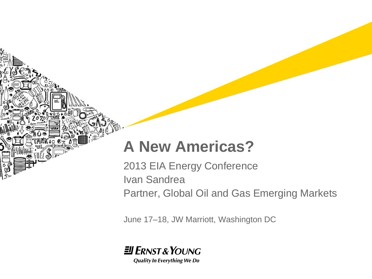# **A New Americas?**

2013 EIA Energy Conference Ivan Sandrea Partner, Global Oil and Gas Emerging Markets

June 17–18, JW Marriott, Washington DC

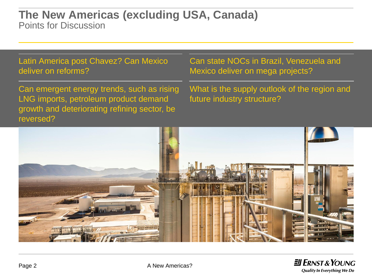## **The New Americas (excluding USA, Canada)** Points for Discussion

Latin America post Chavez? Can Mexico deliver on reforms?

Can emergent energy trends, such as rising LNG imports, petroleum product demand growth and deteriorating refining sector, be reversed?

Can state NOCs in Brazil, Venezuela and Mexico deliver on mega projects?

What is the supply outlook of the region and future industry structure?



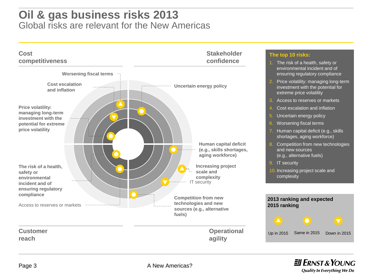## **Oil & gas business risks 2013** Global risks are relevant for the New Americas



 $H$  ERNST & YOUNG Quality In Everything We Do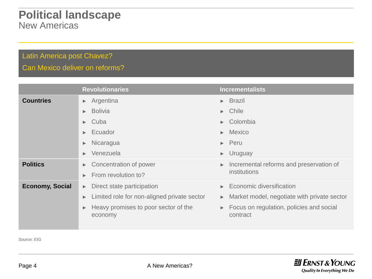## **Political landscape** New Americas

### Latin America post Chavez?

Can Mexico deliver on reforms?

|                        | <b>Revolutionaries</b>                                               | <b>Incrementalists</b>                                               |
|------------------------|----------------------------------------------------------------------|----------------------------------------------------------------------|
| <b>Countries</b>       | $\blacktriangleright$ Argentina                                      | $\triangleright$ Brazil                                              |
|                        | <b>Bolivia</b><br>Þ.                                                 | $\blacktriangleright$ Chile                                          |
|                        | Cuba<br>Þ.                                                           | $\triangleright$ Colombia                                            |
|                        | Ecuador<br>$\blacktriangleright$                                     | $\blacktriangleright$ Mexico                                         |
|                        | Nicaragua<br>$\blacktriangleright$                                   | $\blacktriangleright$ Peru                                           |
|                        | Venezuela<br>Þ.                                                      | $\blacktriangleright$ Uruguay                                        |
| <b>Politics</b>        | Concentration of power<br>$\blacktriangleright$                      | Incremental reforms and preservation of                              |
|                        | From revolution to?<br>Ы                                             | institutions                                                         |
| <b>Economy, Social</b> | Direct state participation<br>$\blacktriangleright$                  | $\blacktriangleright$ Economic diversification                       |
|                        | Limited role for non-aligned private sector<br>$\blacktriangleright$ | Market model, negotiate with private sector<br>$\blacktriangleright$ |
|                        | Heavy promises to poor sector of the<br>$\blacktriangleright$        | Focus on regulation, policies and social<br>$\blacktriangleright$    |
|                        | economy                                                              | contract                                                             |
|                        |                                                                      |                                                                      |

Source: EIG

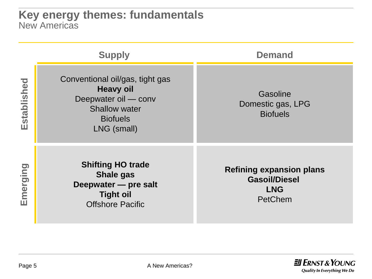|             | <b>Supply</b>                                                                                                                         | <b>Demand</b>                                                                    |  |  |
|-------------|---------------------------------------------------------------------------------------------------------------------------------------|----------------------------------------------------------------------------------|--|--|
| Established | Conventional oil/gas, tight gas<br><b>Heavy oil</b><br>Deepwater oil - conv<br><b>Shallow water</b><br><b>Biofuels</b><br>LNG (small) | Gasoline<br>Domestic gas, LPG<br><b>Biofuels</b>                                 |  |  |
| Emerging    | <b>Shifting HO trade</b><br><b>Shale gas</b><br>Deepwater - pre salt<br><b>Tight oil</b><br><b>Offshore Pacific</b>                   | <b>Refining expansion plans</b><br><b>Gasoil/Diesel</b><br><b>LNG</b><br>PetChem |  |  |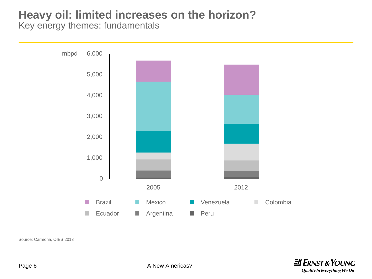## **Heavy oil: limited increases on the horizon?** Key energy themes: fundamentals



Source: Carmona, OIES 2013

**JI ERNST & YOUNG Quality In Everything We Do**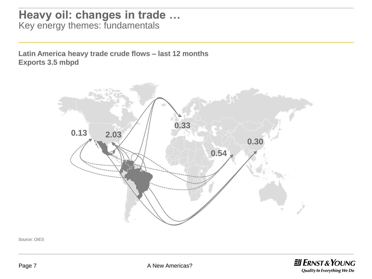## **Heavy oil: changes in trade …**  Key energy themes: fundamentals

**Latin America heavy trade crude flows – last 12 months Exports 3.5 mbpd**



Source: OIES

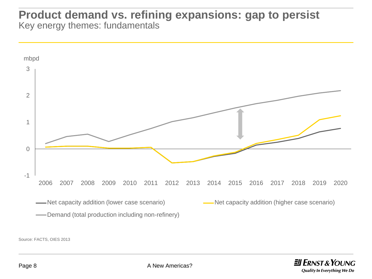## **Product demand vs. refining expansions: gap to persist** Key energy themes: fundamentals



Source: FACTS, OIES 2013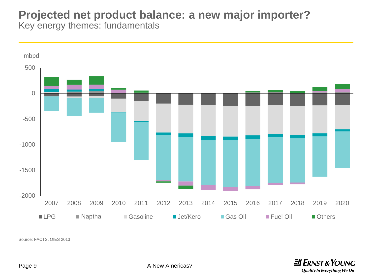## **Projected net product balance: a new major importer?** Key energy themes: fundamentals



Source: FACTS, OIES 2013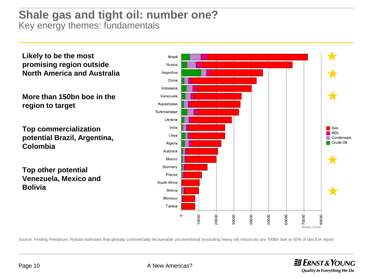## **Shale gas and tight oil: number one?** Key energy themes: fundamentals

**Likely to be the most promising region outside North America and Australia**

**More than 150bn boe in the region to target**

**Top commercialization potential Brazil, Argentina, Colombia**

**Top other potential Venezuela, Mexico and Bolivia**



Source: Finding Petroleum; Rystad estimates that globally commercially recoverable uncoventional (excluding heavy oil) resources are 700Bn boe or 50% of last EIA report

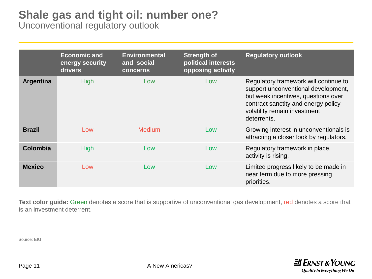## **Shale gas and tight oil: number one?** Unconventional regulatory outlook

|                  | <b>Economic and</b><br>energy security<br>drivers | <b>Environmental</b><br>and social<br>concerns | <b>Strength of</b><br>political interests<br>opposing activity | <b>Regulatory outlook</b>                                                                                                                                                                                 |
|------------------|---------------------------------------------------|------------------------------------------------|----------------------------------------------------------------|-----------------------------------------------------------------------------------------------------------------------------------------------------------------------------------------------------------|
| <b>Argentina</b> | <b>High</b>                                       | Low                                            | Low                                                            | Regulatory framework will continue to<br>support unconventional development,<br>but weak incentives, questions over<br>contract sanctity and energy policy<br>volatility remain investment<br>deterrents. |
| <b>Brazil</b>    | Low                                               | <b>Medium</b>                                  | Low                                                            | Growing interest in unconventionals is<br>attracting a closer look by regulators.                                                                                                                         |
| <b>Colombia</b>  | <b>High</b>                                       | Low                                            | Low                                                            | Regulatory framework in place,<br>activity is rising.                                                                                                                                                     |
| <b>Mexico</b>    | Low                                               | Low                                            | Low                                                            | Limited progress likely to be made in<br>near term due to more pressing<br>priorities.                                                                                                                    |

**Text color guide:** Green denotes a score that is supportive of unconventional gas development, red denotes a score that is an investment deterrent.

Source: EIG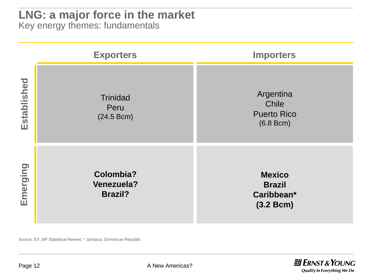## **LNG: a major force in the market**

Key energy themes: fundamentals

|             | <b>Exporters</b>                                        | <b>Importers</b>                                                  |  |  |
|-------------|---------------------------------------------------------|-------------------------------------------------------------------|--|--|
| Established | <b>Trinidad</b><br>Peru<br>(24.5 Bcm)                   | Argentina<br><b>Chile</b><br><b>Puerto Rico</b><br>$(6.8$ Bcm $)$ |  |  |
| Emerging    | <b>Colombia?</b><br><b>Venezuela?</b><br><b>Brazil?</b> | <b>Mexico</b><br><b>Brazil</b><br>Caribbean*<br>(3.2 Bcm)         |  |  |

Source: EY, BP Statistical Review; \* Jamaica, Dominican Republic

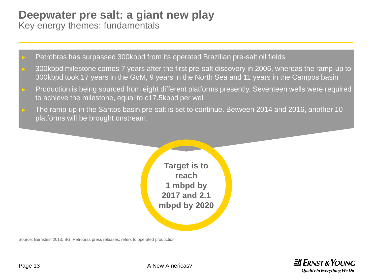## **Deepwater pre salt: a giant new play** Key energy themes: fundamentals

- Petrobras has surpassed 300kbpd from its operated Brazilian pre-salt oil fields
- 300kbpd milestone comes 7 years after the first pre-salt discovery in 2006, whereas the ramp-up to 300kbpd took 17 years in the GoM, 9 years in the North Sea and 11 years in the Campos basin
- Production is being sourced from eight different platforms presently. Seventeen wells were required to achieve the milestone, equal to c17.5kbpd per well
- The ramp-up in the Santos basin pre-salt is set to continue. Between 2014 and 2016, another 10 platforms will be brought onstream.



Source: Bernstein 2013; BG, Petrobras press releases; refers to operated production

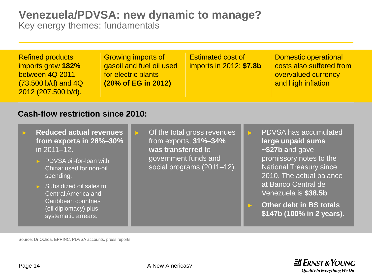## **Venezuela/PDVSA: new dynamic to manage?** Key energy themes: fundamentals

| <b>Refined products</b><br>imports grew 182%<br>between 4Q 2011<br>$(73.500 b/d)$ and $4Q$<br>2012 (207.500 b/d).                                                                                                                                                                           |  | <b>Growing imports of</b><br>gasoil and fuel oil used<br>for electric plants<br>(20% of EG in 2012) | <b>Estimated cost of</b><br>imports in 2012: \$7.8b                                |   | <b>Domestic operational</b><br>costs also suffered from<br>overvalued currency<br>and high inflation                                                                                                                                                                        |
|---------------------------------------------------------------------------------------------------------------------------------------------------------------------------------------------------------------------------------------------------------------------------------------------|--|-----------------------------------------------------------------------------------------------------|------------------------------------------------------------------------------------|---|-----------------------------------------------------------------------------------------------------------------------------------------------------------------------------------------------------------------------------------------------------------------------------|
| <b>Cash-flow restriction since 2010:</b>                                                                                                                                                                                                                                                    |  |                                                                                                     |                                                                                    |   |                                                                                                                                                                                                                                                                             |
| <b>Reduced actual revenues</b><br>from exports in 28%-30%<br>in 2011-12.<br>PDVSA oil-for-loan with<br>China: used for non-oil<br>spending.<br>$\triangleright$ Subsidized oil sales to<br><b>Central America and</b><br>Caribbean countries<br>(oil diplomacy) plus<br>systematic arrears. |  | $\blacktriangleright$<br>was transferred to<br>government funds and                                 | Of the total gross revenues<br>from exports, 31%-34%<br>social programs (2011-12). | Ы | <b>PDVSA has accumulated</b><br>large unpaid sums<br>~\$27b and gave<br>promissory notes to the<br><b>National Treasury since</b><br>2010. The actual balance<br>at Banco Central de<br>Venezuela is \$38.5b<br><b>Other debt in BS totals</b><br>\$147b (100% in 2 years). |

Source: Dr Ochoa, EPRINC, PDVSA accounts, press reports

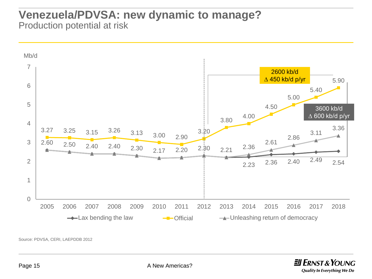## **Venezuela/PDVSA: new dynamic to manage?** Production potential at risk



Source: PDVSA, CERI, LAEPDDB 2012

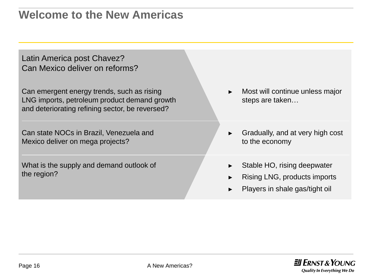**Welcome to the New Americas**

Latin America post Chavez? Can Mexico deliver on reforms?

Can emergent energy trends, such as rising LNG imports, petroleum product demand growth and deteriorating refining sector, be reversed?

Can state NOCs in Brazil, Venezuela and Mexico deliver on mega projects?

What is the supply and demand outlook of the region?

- Most will continue unless major steps are taken…
- Gradually, and at very high cost to the economy
- Stable HO, rising deepwater
- Rising LNG, products imports
- ► Players in shale gas/tight oil

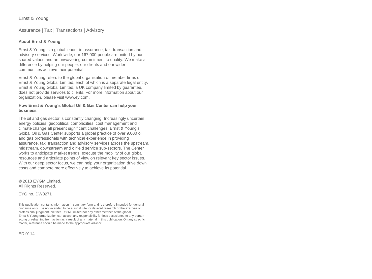### Ernst & Young

### Assurance | Tax | Transactions | Advisory

### **About Ernst & Young**

Ernst & Young is a global leader in assurance, tax, transaction and advisory services. Worldwide, our 167,000 people are united by our shared values and an unwavering commitment to quality. We make a difference by helping our people, our clients and our wider communities achieve their potential.

Ernst & Young refers to the global organization of member firms of Ernst & Young Global Limited, each of which is a separate legal entity. Ernst & Young Global Limited, a UK company limited by guarantee, does not provide services to clients. For more information about our organization, please visit www.ey.com.

#### **How Ernst & Young's Global Oil & Gas Center can help your business**

The oil and gas sector is constantly changing. Increasingly uncertain energy policies, geopolitical complexities, cost management and climate change all present significant challenges. Ernst & Young's Global Oil & Gas Center supports a global practice of over 9,000 oil and gas professionals with technical experience in providing assurance, tax, transaction and advisory services across the upstream, midstream, downstream and oilfield service sub-sectors. The Center works to anticipate market trends, execute the mobility of our global resources and articulate points of view on relevant key sector issues. With our deep sector focus, we can help your organization drive down costs and compete more effectively to achieve its potential.

© 2013 EYGM Limited. All Rights Reserved.

EYG no. DW0271

This publication contains information in summary form and is therefore intended for general guidance only. It is not intended to be a substitute for detailed research or the exercise of professional judgment. Neither EYGM Limited nor any other member of the global Ernst & Young organization can accept any responsibility for loss occasioned to any person acting or refraining from action as a result of any material in this publication. On any specific matter, reference should be made to the appropriate advisor.

ED 0114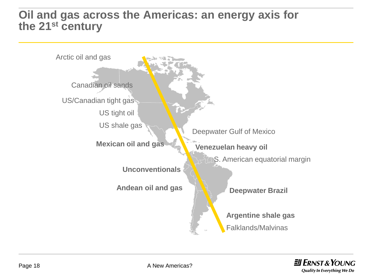## **Oil and gas across the Americas: an energy axis for the 21st century**